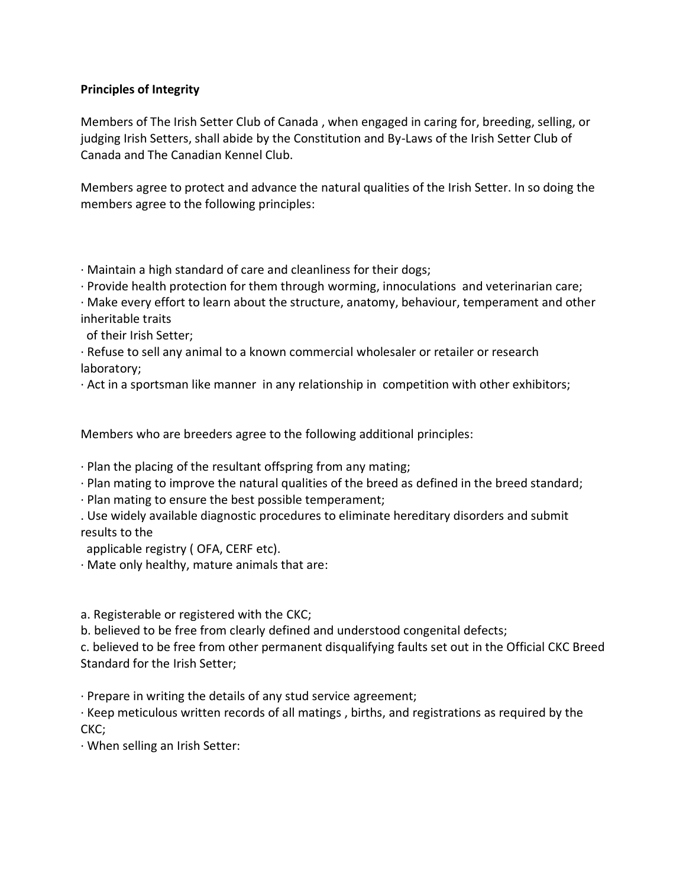## **Principles of Integrity**

Members of The Irish Setter Club of Canada , when engaged in caring for, breeding, selling, or judging Irish Setters, shall abide by the Constitution and By-Laws of the Irish Setter Club of Canada and The Canadian Kennel Club.

Members agree to protect and advance the natural qualities of the Irish Setter. In so doing the members agree to the following principles:

· Maintain a high standard of care and cleanliness for their dogs;

· Provide health protection for them through worming, innoculations and veterinarian care;

· Make every effort to learn about the structure, anatomy, behaviour, temperament and other inheritable traits

of their Irish Setter;

· Refuse to sell any animal to a known commercial wholesaler or retailer or research laboratory;

· Act in a sportsman like manner in any relationship in competition with other exhibitors;

Members who are breeders agree to the following additional principles:

- · Plan the placing of the resultant offspring from any mating;
- · Plan mating to improve the natural qualities of the breed as defined in the breed standard;
- · Plan mating to ensure the best possible temperament;
- . Use widely available diagnostic procedures to eliminate hereditary disorders and submit results to the

applicable registry ( OFA, CERF etc).

· Mate only healthy, mature animals that are:

a. Registerable or registered with the CKC;

b. believed to be free from clearly defined and understood congenital defects;

c. believed to be free from other permanent disqualifying faults set out in the Official CKC Breed Standard for the Irish Setter;

· Prepare in writing the details of any stud service agreement;

· Keep meticulous written records of all matings , births, and registrations as required by the CKC;

· When selling an Irish Setter: